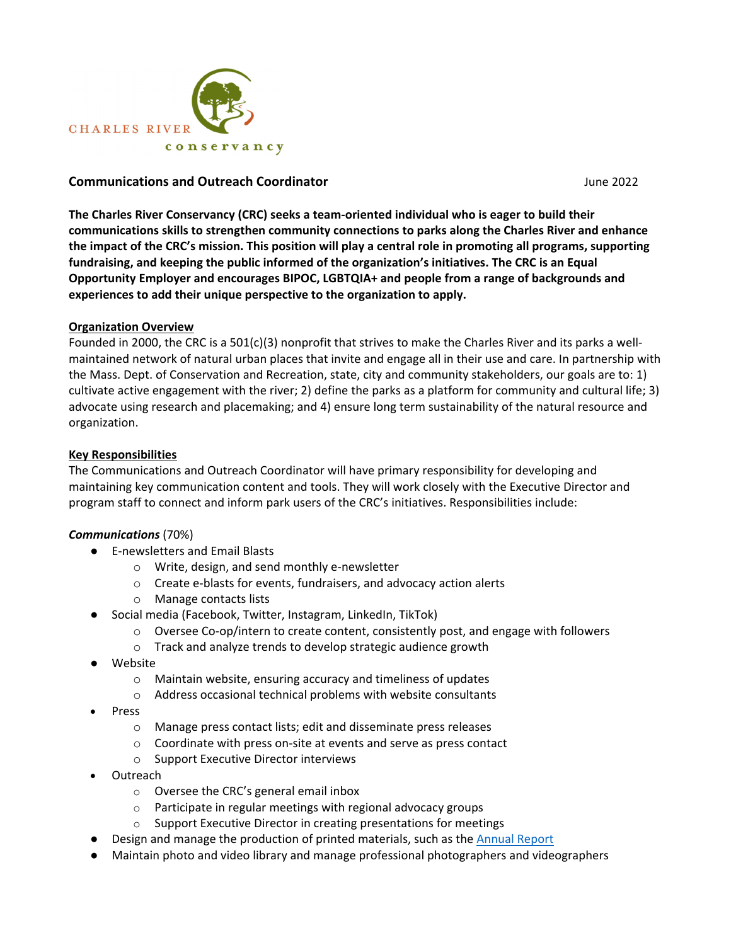

#### **Communications and Outreach Coordinator**  June 2022

**The Charles River Conservancy (CRC) seeks a team‐oriented individual who is eager to build their communications skills to strengthen community connections to parks along the Charles River and enhance** the impact of the CRC's mission. This position will play a central role in promoting all programs, supporting **fundraising, and keeping the public informed of the organization's initiatives. The CRC is an Equal Opportunity Employer and encourages BIPOC, LGBTQIA+ and people from a range of backgrounds and experiences to add their unique perspective to the organization to apply.**

#### **Organization Overview**

Founded in 2000, the CRC is a 501(c)(3) nonprofit that strives to make the Charles River and its parks a well‐ maintained network of natural urban places that invite and engage all in their use and care. In partnership with the Mass. Dept. of Conservation and Recreation, state, city and community stakeholders, our goals are to: 1) cultivate active engagement with the river; 2) define the parks as a platform for community and cultural life; 3) advocate using research and placemaking; and 4) ensure long term sustainability of the natural resource and organization.

#### **Key Responsibilities**

The Communications and Outreach Coordinator will have primary responsibility for developing and maintaining key communication content and tools. They will work closely with the Executive Director and program staff to connect and inform park users of the CRC's initiatives. Responsibilities include:

#### *Communications* (70%)

- E-newsletters and Email Blasts
	- o Write, design, and send monthly e‐newsletter
	- o Create e‐blasts for events, fundraisers, and advocacy action alerts
	- o Manage contacts lists
- Social media (Facebook, Twitter, Instagram, LinkedIn, TikTok)
	- Oversee Co-op/intern to create content, consistently post, and engage with followers
	- o Track and analyze trends to develop strategic audience growth
- Website
	- o Maintain website, ensuring accuracy and timeliness of updates
	- o Address occasional technical problems with website consultants
- Press
	- o Manage press contact lists; edit and disseminate press releases
	- o Coordinate with press on‐site at events and serve as press contact
	- o Support Executive Director interviews
- Outreach
	- o Oversee the CRC's general email inbox
	- o Participate in regular meetings with regional advocacy groups
	- $\circ$  Support Executive Director in creating presentations for meetings
- Design and manage the production of printed materials, such as the Annual Report
- Maintain photo and video library and manage professional photographers and videographers